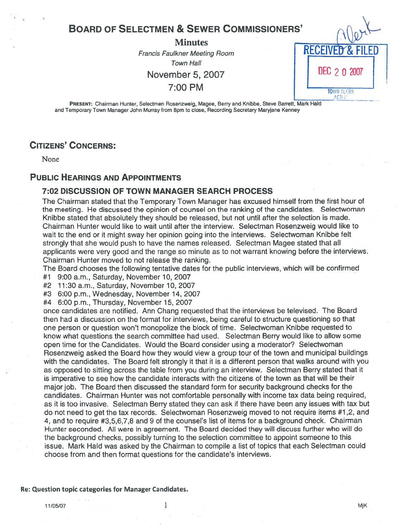# **BOARD OF SELECTMEN & SEWER COMMISSIONERS'**

#### **Minutes**

Francis Faulkner Meeting Room RECEIVED Town Hall November 5, 2007 | **DEC** 2 0 2007

 $7:00 \text{ PM}$  TOWN CLERK ACTC.

PRESENT: Chairman Hunter, Selectmen Rosenzweig, Magee, Berry and Knibbe, Steve Barrett, Mark Hald and Temporary Town Manager John Murray from 8pm to close, Recording Secretary Maryjane Kenney

# CITIZENS' CONCERNS:

None

#### PUBLIC HEARINGS AND APPOINTMENTS

#### 7:02 DISCUSSION OF TOWN MANAGER SEARCH PROCESS

The Chairman stated that the Temporary Town Manager has excused himself from the first hour of the meeting. He discussed the opinion of counsel on the ranking of the candidates. Selectwoman Knibbe stated that absolutely they should be released, but not until after the selection is made. Chairman Hunter would like to wait until after the interview. Selectman Rosenzweig would like to wait to the end or it might sway her opinion going into the interviews. Selectwoman Knibbe felt strongly that she would push to have the names released. Selectman Magee stated that all applicants were very good and the range so minute as to not warrant knowing before the interviews. Chairman Hunter moved to not release the ranking.

The Board chooses the following tentative dates for the public interviews, which will be confirmed

- #1 9:00 a.m., Saturday, November 10, 2007
- #2 11:30 a.m., Saturday, November 10, 2007
- #3 6:00 p.m., Wednesday, November 14, 2007
- #4 6:00 p.m., Thursday, November 15, 2007

once candidates are notified. Ann Chang requested that the interviews be televised. The Board then had <sup>a</sup> discussion on the format for interviews, being careful to structure questioning so that one person or question won't monopolize the block of time. Selectwoman Knibbe requested to know what questions the search committee had used. Selectman Berry would like to allow some open time for the Candidates. Would the Board consider using <sup>a</sup> moderator? Selectwoman Rosenzweig asked the Board how they would view <sup>a</sup> group tour of the town and municipal buildings with the candidates. The Board felt strongly it that it is <sup>a</sup> different person that walks around with you as opposed to sitting across the table from you during an interview. Selectman Berry stated that it is imperative to see how the candidate interacts with the citizens of the town as that will be their major job. The Board then discussed the standard form for security background checks for the candidates. Chairman Hunter was not comfortable personally with income tax data being required, as it is too invasive. Selectmah Berry stated they can ask if there have been any issues with tax but do not need to ge<sup>t</sup> the tax records. Selectwoman Rosenzweig moved to not require items #1,2, and 4, and to require #3,5,6,7,8 and 9 of the counsel's list of items for <sup>a</sup> background check. Chairman Hunter seconded. All were in agreement. The Board decided they will discuss further who will do the background checks, possibly turning to the selection committee to appoint someone to this issue. Mark Hald was asked by the Chairman to compile <sup>a</sup> list of topics that each Selectman could choose from and then format questions for the candidate's interviews.

#### Re: Question topic categories for Manager Candidates.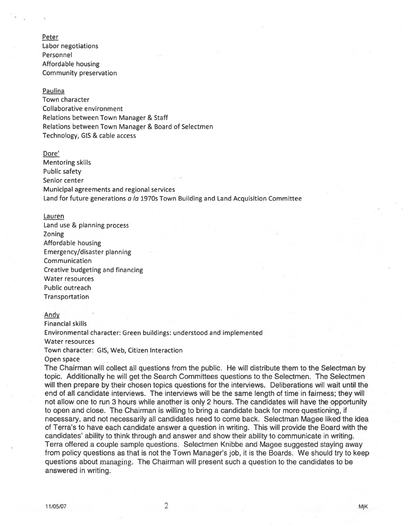Peter Labor negotiations Personnel Affordable housing Community preservation

#### Paulina

Town character Collaborative environment Relations between Town Manager & Staff Relations between Town Manager & Board of Selectmen Technology, GIS & cable access

#### Dore'

Mentoring skills Public safety Senior center Municipal agreements and regional services Land for future generations a la 1970s Town Building and Land Acquisition Committee

#### Lauren

Land use & planning process Zoning and the contract of the contract of the contract of the contract of the contract of the contract of the Affordable housing Emergency/disaster planning Communication Creative budgeting and financing Water resources Public outreach Transportation

#### Andy

Financial skills Environmental character: Green buildings: understood and implemented Water resources Town character: GIS, Web, Citizen Interaction Open space

The Chairman will collect all questions from the public. He will distribute them to the Selectman by topic. Additionally he will ge<sup>t</sup> the Search Committees questions to the Selectmen. The Selectmen will then prepare by their chosen topics questions for the interviews. Deliberations will wait until the end of all candidate interviews. The interviews will be the same length of time in fairness; they will not allow one to run 3 hours while another is only 2 hours. The candidates will have the opportunity to open and close. The Chairman is willing to bring <sup>a</sup> candidate back for more questioning, if necessary, and not necessarily all candidates need to come back. Selectman Magee liked the idea of Terra's to have each candidate answer <sup>a</sup> question in writing. This will provide the Board with the candidates' ability to think through and answer and show their ability to communicate in writing. Terra offered <sup>a</sup> couple sample questions. Selectmen Knibbe and Magee suggested staying away from policy questions as that is not the Town Manager's job, it is the Boards. We should try to keep questions about managing. The Chairman will presen<sup>t</sup> such <sup>a</sup> question to the candidates to be answered in writing.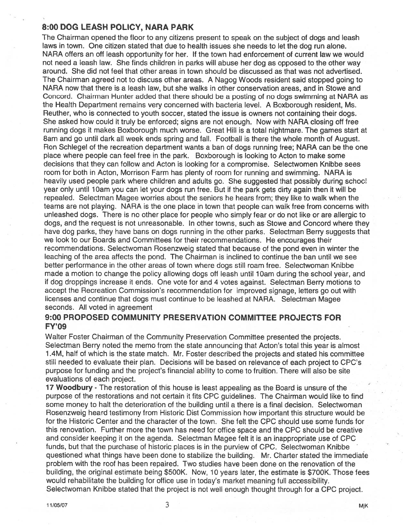#### 8:00 DOG LEASH POLICY, NARA PARK

The Chairman opened the floor to any citizens presen<sup>t</sup> to speak on the subject of dogs and leash laws in town. One citizen stated that due to health issues she needs to let the dog run alone. NARA offers an off leash opportunity for her. If the town had enforcement of current law we would not need <sup>a</sup> leash law. She finds children in parks will abuse her dog as opposed to the other way around. She did not feel that other areas in town should be discussed as that was not advertised. The Chairman agreed not to discuss other areas. A Nagog Woods resident said stopped going to NARA now that there is <sup>a</sup> leash law, but she walks in other conservation areas, and in Stowe and Concord. Chairman Hunter added that there should be <sup>a</sup> posting of no dogs swimming at NARA as the Health Department remains very concerned with bacteria level. A Boxborough resident, Ms. Reuther, who is connected to youth soccer, stated the issue is owners not containing their dogs. She asked how could it truly be enforced; signs are not enough. Now with NARA closing off free running dogs it makes Boxborough much worse. Great Hill is <sup>a</sup> total nightmare. The games start at 8am and go until dark all week ends spring and fall. Football is there the whole month of August. Ron Schlegel of the recreation department wants <sup>a</sup> ban of dogs running free; NARA can be the one place where people can feel tree in the park. Boxborough is looking to Acton to make some decisions that they can follow and Acton is looking for <sup>a</sup> compromise. Selectwomen Knibbe sees room for both in Acton, Morrison Farm has plenty of room for running and swimming. NARA is heavily used people park where children and adults go. She suggested that possibly during schoo! year only until lOam you can let your dogs run free. But it the park gets dirty again then it will be repealed. Selectman Magee worries about the seniors he hears from; they like to walk when the teams are not playing. NARA is the one place in town that people can walk free from concerns with unleashed dogs. There is no other place for people who simply fear or do not like or are allergic to dogs, and the reques<sup>t</sup> is not unreasonable. In other towns, such as Stowe and Concord where they have dog parks, they have bans on dogs running in the other parks. Selectman Berry suggests that we look to our Boards and Committees for their recommendations. He encourages their recommendations. Selectwoman Rosenzweig stated that because of the pond even in winter the leaching of the area affects the pond. The Chairman is inclined to continue the ban until we see better performance in the other areas of town where dogs still roam free. Selectwoman Knibbe made a motion to change the policy allowing dogs off leash until 10am during the school year, and if dog droppings increase it ends. One vote for and 4 votes against. Selectman Berry motions to accep<sup>t</sup> the Recreation Commission's recommendation for improved signage, letters go out with licenses and continue that dogs must continue to be leashed at NARA. Selectman Magee seconds. All voted in agreemen<sup>t</sup>

#### 9:00 PROPOSED COMMUNITY PRESERVATION COMMITTEE PROJECTS FOR FY'09

Walter Foster Chairman of the Community Preservation Committee presented the projects. Selectman Berry noted the memo from the state announcing that Acton's total this year is almost 1 .4M, half of which is the state match. Mr. Foster described the projects and stated his committee still needed to evaluate their plan. Decisions will be based on relevance of each project to CPC's purpose for funding and the project's financial ability to come to fruition. There will also be site evaluations of each project.

17 Woodbury - The restoration of this house is least appealing as the Board is unsure of the purpose of the restorations and not certain it fits CPC guidelines. The Chairman would like to find some money to halt the deterioration of the building until <sup>a</sup> there is <sup>a</sup> final decision. Selectwoman Rosenzweig heard testimony from Historic Dist Commission how important this structure would be for the Historic Center and the character of the town. She felt the CPC should use some funds for this renovation. Further more the town has need for office space and the CPC should be creative and consider keeping it on the agenda. Selectman Magee felt it is an inappropriate use of CPC funds, but that the purchase of historic places is in the purview of CPC. Selectwoman Knibbe questioned what things have been done to stabilize the building. Mr. Charter stated the immediate problem with the roof has been repaired. Two studies have been done on the renovation of the building, the original estimate being \$500K. Now, 10 years later, the estimate is \$700K. Those fees would rehabilitate the building for office use in today's market meaning full accessibility. Selectwoman Knibbe stated that the project is not well enough thought through for <sup>a</sup> CPC project.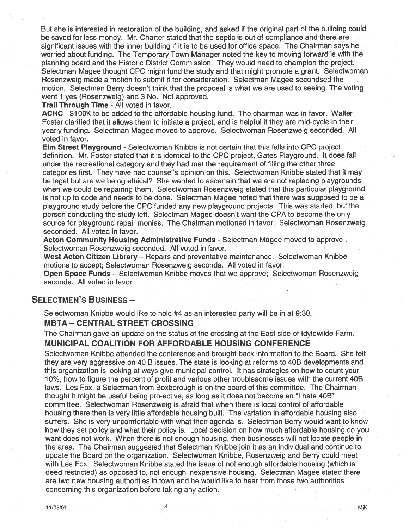But she is interested in restoration of the building, and asked if the original par<sup>t</sup> of the building could be saved for less money. Mr. Charter stated that the septic is out of compliance and there are significant issues with the inner building if it is to be used for office space. The Chairman says he worried about funding. The Temporary Town Manager noted the key to moving forward is with the planning board and the Historic District Commission. They would need to champion the project. Selectman Magee thought CPC might fund the study and that might promote <sup>a</sup> grant. Selectwoman Rosenzweig made <sup>a</sup> motion to submit it for consideration. Selectman Magee secondsed the motion. Selectman Berry doesn't think that the proposal is what we are used to seeing. The voting went 1 yes (Rosenzweig) and 3 No. Not approved.

Trail Through Time - All voted in favor.

ACHC - \$1 00K to be added to the affordable housing fund. The chairman was in favor. Walter Foster clarified that it allows them to initiate <sup>a</sup> project, and is helpful it they are mid-cycle in their yearly funding. Selectman Magee moved to approve. Selectwoman Rosenzweig seconded. All voted in favor.

Elm Street Playground - Selectwoman Knibbe is not certain that this falls into CPC project definition. Mr. Foster stated that it is identical to the CPC project, Gates Playground. It does fall under the recreational category and they had met the requirement of filling the other three categories first. They have had counsel's opinion on this. Selectwoman Knibbe stated that it may be legal but are we being ethical? She wanted to ascertain that we are not replacing playgrounds when we could be repairing them. Selectwoman Rosenzweig stated that this particular playground is not up to code and needs to be done. Selectman Magee noted that there was supposed to be <sup>a</sup> playground study before the CPC funded any new playground projects. This was started, but the person conducting the study left. Selectman Magee doesn't want the CPA to become the only source for playground repair monies. The Chairman motioned in favor. Selectwoman Rosenzweig seconded. All voted in favor.

Acton Community Housing Administrative Funds - Selectman Magee moved to approve. Selectwoman Rosenzweig seconded. All voted in favor.

West Acton Citizen Library - Repairs and preventative maintenance. Selectwoman Knibbe motions to accept; Selectwoman Rosenzweig seconds. All voted in favor.

**Open Space Funds** – Selectwoman Knibbe moves that we approve; Selectwoman Rosenzweig seconds. All voted in favor

#### SELECTMEN'S BUSINESS —

Selectwoman Knibbe would like to hold #4 as an interested party will be in at 9:30.

#### MBTA -CENTRAL STREET CROSSING

The Chairman gave an update on the status of the crossing at the East side of ldylewilde Farm. MUNICIPAL COALITION FOR AFFORDABLE HOUSING CONFERENCE

Selectwoman Knibbe attended the conference and brought back information to the Board. She felt they are very aggressive on 40 B issues. The state is looking at reforms to 40B developments and this organization is looking at ways give municipal control. It has strategies, on how to count your 70%, how to figure the percen<sup>t</sup> of profit and various other troublesome issues with the current 40B laws. Les Fox, <sup>a</sup> Selectman from Boxborough is on the board of this committee. The Chairman thought it might be useful being pro-active, as long asit does not become an "I hate 40B" committee. Selectwoman Rosenzweig is afraid that when there is local control of affordable housing there then is very little affordable housing built. The variation in affordable housing also suffers. She is very uncomfortable with what their agenda is. Selectman Berry would want to know how they set policy and what their policy is. Local decision on how much affordable housing do you want does not work. When there is not enough housing, then businesses will not locate people in the area. The Chairman suggested that Selectman Knibbe join it as an individual and continue to update the Board on the organization. Selectwoman Knibbe, Rosenzweig and Berry could meet with Les Fox. Selectwoman Knibbe stated the issue of not enough affordable housing (which is deed restricted) as opposed to, not enough inexpensive housing. Selectman Magee stated there are two new housing authorities in town and he would like to hear from those two authorities concerning this organization before taking any action.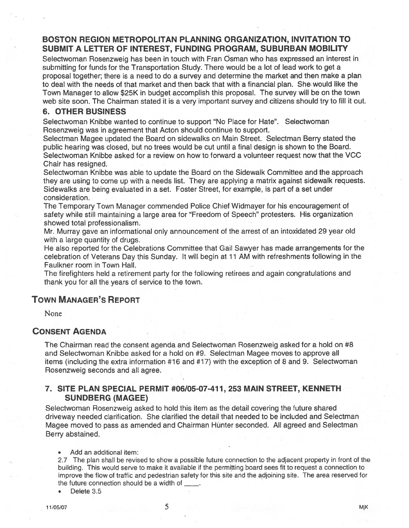## BOSTON REGION METROPOLITAN PLANNING ORGANIZATION, INVITATION TO SUBMIT A LETTER OF INTEREST, FUNDING PROGRAM, SUBURBAN MOBILITY

Selectwoman Rosenzweig has been in touch with Fran Osman who has expressed an interest in submitting for funds tor the Transportation Study. There would be <sup>a</sup> lot of lead work to ge<sup>t</sup> <sup>a</sup> proposal together; there is <sup>a</sup> need to do <sup>a</sup> survey and determine the market and then make <sup>a</sup> plan to deal with the needs of that market and then back that with <sup>a</sup> financial plan. She would like the Town Manager to allow \$25K in budget accomplish this proposal. The survey will be on the town web site soon. The Chairman stated it is <sup>a</sup> very important survey and citizens should try to fill it out.

#### 6. OTHER BUSINESS

Selectwoman Knibbe wanted to continue to suppor<sup>t</sup> "No Place for Hate". Selectwoman Rosenzweig was in agreemen<sup>t</sup> that Acton should continue to support.

Selectman Magee updated the Board on sidewalks on Main Street. Selectman Berry stated the public hearing was closed, but no trees would be cut until <sup>a</sup> final design is shown to the Board. Selectwoman Knibbe asked for <sup>a</sup> review on how to forward <sup>a</sup> volunteer reques<sup>t</sup> now that the VCC Chair has resigned.

Selectwoman Knibbe was able to update the Board on the Sidewalk Committee and the approach they are using to come up with <sup>a</sup> needs list. They are applying <sup>a</sup> matrix against sidewalk requests. Sidewalks are being evaluated in <sup>a</sup> set. Foster Street, for example, is par<sup>t</sup> of <sup>a</sup> set under consideration.

The Temporary Town Manager commended Police Chief Widmayer for his encouragemen<sup>t</sup> of safety while still maintaining <sup>a</sup> large area for "Freedom of Speech" protesters. His organization showed total professionalism.

Mr. Murray gave an informational only announcement of the arrest of an intoxidated 29 year old with <sup>a</sup> large quantity of drugs.

He also reported for the Celebrations Committee that Gail Sawyer has made arrangements for the celebration of Veterans Day this Sunday. It will begin at 11 AM with refreshments following in the Faulkner room in Town Hall.

The firefighters held <sup>a</sup> retirement party for the following retirees and again congratulations and thank you for all the years of service to the town.

# TOWN MANAGER'S REPORT

None

## CONSENT AGENDA

The Chairman read the consent agenda and Selectwoman Rosenzweig asked for <sup>a</sup> hold on #8 and Selectwoman Knibbe asked for <sup>a</sup> hold on #9. Selectman Magee moves to approve all items (including the extra information #16 and #17) with the exception of 8 and 9. Selectwoman Rosenzweig seconds and all agree.

#### 7. SITE PLAN SPECIAL PERMIT #06/05-07-411, 253 MAIN STREET, KENNETH SUNDBERG (MAGEE)

Selectwoman Rosenzweig asked to hold this item as the detail covering the future shared driveway needed clarification. She clarified the detail that needed to be included and Selectman Magee moved to pass as amended and Chairman Hunter seconded. All agreed and Selectman Berry abstained.

Add an additional item:

2.7 The plan shall be revised to show <sup>a</sup> possible future connection to the adjacent property in front of the building. This would serve to make it available if the permitting board sees fit to reques<sup>t</sup> <sup>a</sup> connection to improve the flow of traffic and pedestrian safety for this site and the adjoining site. The area reserved for the future connection should be <sup>a</sup> width of

Delete 3.5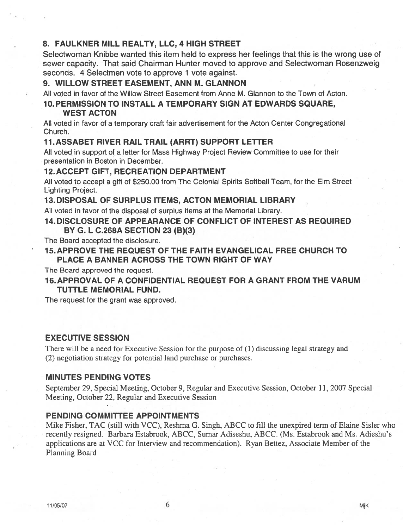# 8. FAULKNER MILL REALTY, LLC, 4 HIGH STREET

Selectwoman Knibbe wanted this item held to express her feelings that this is the wrong use of sewer capacity. That said Chairman Hunter moved to approve and Selectwoman Rosenzweig seconds. 4 Selectmen vote to approve 1 vote against.

#### 9. WILLOW STREET EASEMENT, ANN M. GLANNON

All voted in favor of the Willow Street Easement from Anne M. Glannon to the Town of Acton.

# 10. PERMISSION TO INSTALL A TEMPORARY SIGN AT EDWARDS SQUARE,

## WEST ACTON

All voted in favor of <sup>a</sup> temporary craft fair advertisement for the Acton Center Congregational Church.

#### 11.ASSABET RIVER RAIL TRAIL (ARRT) SUPPORT LETTER

All voted in suppor<sup>t</sup> of <sup>a</sup> letter for Mass Highway Project Review Committee to use for their presentation in Boston in December.

#### 12. ACCEPT GIFT, RECREATION DEPARTMENT

All voted to accep<sup>t</sup> <sup>a</sup> gift of \$250.00 from The Colonial Spirits Softball Team, for the Elm Street Lighting Project.

#### 13. DISPOSAL OF SURPLUS ITEMS, ACTON MEMORIAL LIBRARY

All voted in favor of the disposal of surplus items at the Memorial Library.

#### 14. DISCLOSURE OF APPEARANCE OF CONFLICT OF INTEREST AS REQUIRED BY G. L C.268A SECTION 23 (B)(3)

The Board accepted the disclosure.

### 15. APPROVE THE REQUEST OF THE FAITH EVANGELICAL FREE CHURCH TO PLACE A BANNER ACROSS THE TOWN RIGHT OF WAY

The Board approved the request.

## 16. APPROVAL OF A CONFIDENTIAL REQUEST FOR A GRANT FROM THE VARUM TUTTLE MEMORIAL FUND.

The reques<sup>t</sup> for the gran<sup>t</sup> was approved.

#### EXECUTIVE SESSION

There will be <sup>a</sup> need for Executive Session for the purpose of (1) discussing legal strategy and (2) negotiation strategy for potential land purchase or.purchases.

#### MINUTES PENDING VOTES

September 29, Special Meeting, October 9, Regular and Executive Session, October 11, 2007 Special Meeting, October 22, Regular and Executive Session

#### PENDING COMMITTEE APPOINTMENTS

Mike Fisher. TAC (still with VCC), Reshma G. Singh. ABCC to fill the unexpired term of Elaine Sisler who recently resigned. Barbara Estabrook, ABCC, Sumar Adiseshu. ABCC. (Ms. Estabrook and Ms. Adieshu's applications are at VCC for Interview and recommendation). Ryan Bettez, Associate Member of the Planning Board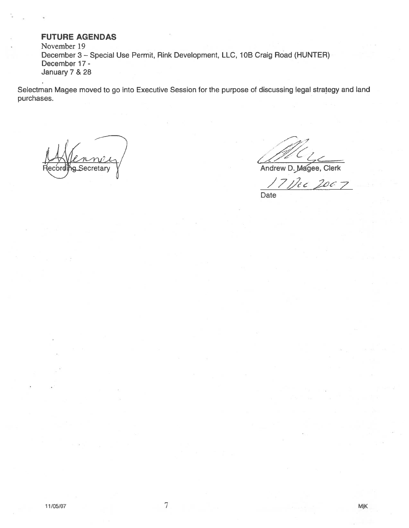### FUTURE AGENDAS

November 19 December 3 - Special Use Permit, Rink Development, LLC, 10B Craig Road (HUNTER) December 17 - January 7 & 28

Selectman Magee moved to go into Executive Session for the purpose of discussing legal strategy and land purchases.

Wenney Secretan

//

Andrew D. Magee, Clerk

Nec 2067 Date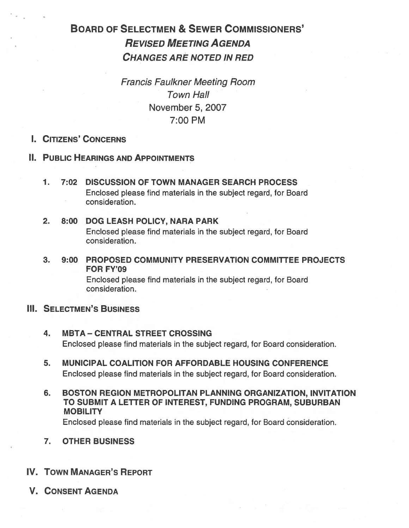# BOARD OF SELECTMEN & SEWER COMMISSIONERS' REVISED MEETING AGENDA CHANGES ARE NOTED IN RED

Francis Faulkner Meeting Room Town Hall November 5, 2007 7:00 PM

# I. CITIZENS' CONCERNS

- II. PUBLIC HEARINGS AND APPOINTMENTS
	- 1. 7:02 DISCUSSION OF TOWN MANAGER SEARCH PROCESS Enclosed please find materials in the subject regard, for Board consideration.
	- 2. 8:00 DOG LEASH POLICY, NARA PARK Enclosed please find materials in the subject regard, for Board consideration.
	- 3. 9:00 PROPOSED COMMUNITY PRESERVATION COMMITTEE PROJECTS FOR FY'09

Enclosed please find materials in the subject regard, for Board consideration.

# **III. SELECTMEN'S BUSINESS**

- 4. MBTA CENTRAL STREET CROSSING Enclosed please find materials in the subject regard, for Board consideration.
- 5. MUNICIPAL COALITION FOR AFFORDABLE HOUSING CONFERENCE Enclosed please find materials in the subject regard, for Board consideration.
- 6. BOSTON REGION METROPOLITAN PLANNING ORGANIZATION, INVITATION TO SUBMIT A LETTER OF INTEREST, FUNDING PROGRAM, SUBURBAN **MOBILITY**

Enclosed please find materials in the subject regard, for Board consideration.

- 7. OTHER BUSINESS
- IV. TOWN MANAGER'S REPORT
- V. CONSENT AGENDA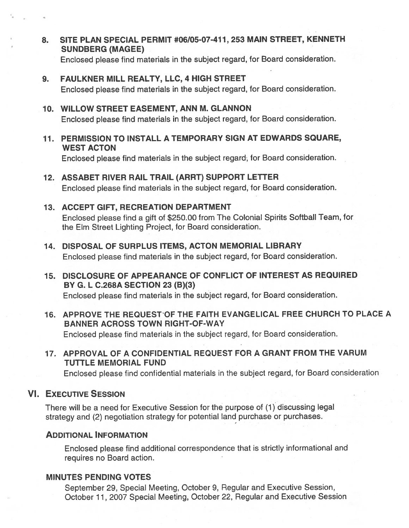8. SITE PLAN SPECIAL PERMIT #06/05-07-411, 253 MAIN STREET, KENNETH SUNDBERG (MAGEE)

Enclosed <sup>p</sup>lease find materials in the subject regard, for Board consideration.

# 9. FAULKNER MILL REALTY, LLC, 4 HIGH STREET

Enclosed <sup>p</sup>lease find materials in the subject regard, for Board consideration.

#### 10. WILLOW STREET EASEMENT, ANN M. GLANNON

Enclosed <sup>p</sup>lease find materials in the subject regard, for Board consideration.

11. PERMISSION TO INSTALL A TEMPORARY SIGN AT EDWARDS SQUARE, WEST ACTON

Enclosed <sup>p</sup>lease find materials in the subject regard, for Board consideration.

# 12. ASSABET RIVER RAIL TRAIL (ARRT) SUPPORT LETTER

Enclosed <sup>p</sup>lease find materials in the subject regard, for Board consideration.

#### 13. ACCEPT GIFT, RECREATION DEPARTMENT

Enclosed <sup>p</sup>lease find <sup>a</sup> <sup>g</sup>ift of \$250.00 from The Colonial Spirits Softball Team, for the Elm Street Lighting Project, for Board consideration.

#### 14. DISPOSAL OF SURPLUS ITEMS, ACTON MEMORIAL LIBRARY

Enclosed <sup>p</sup>lease find materials in the subject regard, for Board consideration.

15. DISCLOSURE OF APPEARANCE OF CONFLICT OF INTEREST AS REQUIRED BY G. L C.268A SECTION 23 (B)(3)

Enclosed <sup>p</sup>lease find materials in the subject regard, for Board consideration.

16. APPROVE THE REQUESTOF THE FAITH EVANGELICAL FREE CHURCH TO PLACE A BANNER ACROSS TOWN RIGHT-OF-WAY

Enclosed <sup>p</sup>lease find materials in the subject regard, for Board consideration.

17. APPROVAL OF A CONFIDENTIAL REQUEST FOR A GRANT FROM THE VARUM TUTTLE MEMORIAL FUND

Enclosed <sup>p</sup>lease find confidential materials in the subject regard, for Board consideration

### VI. EXECUTIVE SESSION

There will be <sup>a</sup> need for Executive Session for the purpose of (1) discussing legal strategy and (2) negotiation strategy for potential land purchase or purchases.

#### ADDITIONAL INFORMATION

Enclosed <sup>p</sup>lease find additional correspondence that is strictly informational and requires no Board action.

#### MINUTES PENDING VOTES

September 29. Special Meeting, October 9. Regular and Executive Session, October 11, 2007 Special Meeting, October 22, Regular and Executive Session